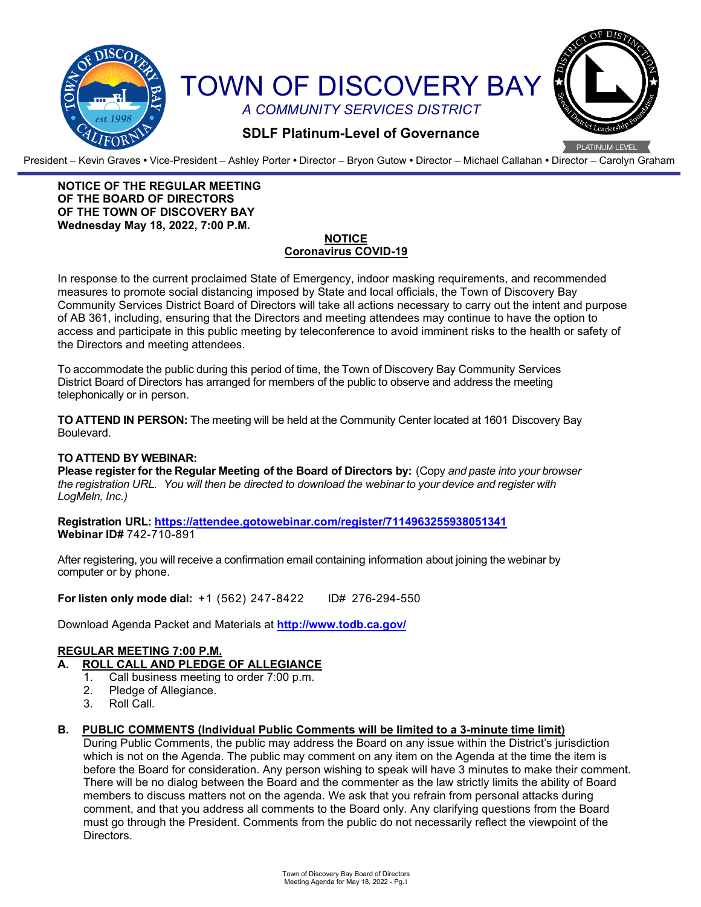

President – Kevin Graves **•** Vice-President – Ashley Porter **•** Director – Bryon Gutow **•** Director – Michael Callahan **•** Director – Carolyn Graham

### **NOTICE OF THE REGULAR MEETING OF THE BOARD OF DIRECTORS OF THE TOWN OF DISCOVERY BAY Wednesday May 18, 2022, 7:00 P.M.**

#### **NOTICE Coronavirus COVID-19**

In response to the current proclaimed State of Emergency, indoor masking requirements, and recommended measures to promote social distancing imposed by State and local officials, the Town of Discovery Bay Community Services District Board of Directors will take all actions necessary to carry out the intent and purpose of AB 361, including, ensuring that the Directors and meeting attendees may continue to have the option to access and participate in this public meeting by teleconference to avoid imminent risks to the health or safety of the Directors and meeting attendees.

To accommodate the public during this period of time, the Town of Discovery Bay Community Services District Board of Directors has arranged for members of the public to observe and address the meeting telephonically or in person.

**TO ATTEND IN PERSON:** The meeting will be held at the Community Center located at 1601 Discovery Bay Boulevard.

#### **TO ATTEND BY WEBINAR:**

**Please register for the Regular Meeting of the Board of Directors by:** (Copy *and paste into your browser the registration URL. You will then be directed to download the webinar to your device and register with LogMeln, Inc.)*

**Registration URL: <https://attendee.gotowebinar.com/register/7114963255938051341> Webinar ID#** 742-710-891

After registering, you will receive a confirmation email containing information about joining the webinar by computer or by phone.

**For listen only mode dial:** +1 (562) 247-8422 ID# 276-294-550

Download Agenda Packet and Materials at **http:/[/www.todb.ca.gov/](http://www.todb.ca.gov/)** 

# **REGULAR MEETING 7:00 P.M.**

- **A. ROLL CALL AND PLEDGE OF ALLEGIANCE**
	- 1. Call business meeting to order 7:00 p.m.
	- 2. Pledge of Allegiance.
	- 3. Roll Call.

### **B. PUBLIC COMMENTS (Individual Public Comments will be limited to a 3-minute time limit)**

During Public Comments, the public may address the Board on any issue within the District's jurisdiction which is not on the Agenda. The public may comment on any item on the Agenda at the time the item is before the Board for consideration. Any person wishing to speak will have 3 minutes to make their comment. There will be no dialog between the Board and the commenter as the law strictly limits the ability of Board members to discuss matters not on the agenda. We ask that you refrain from personal attacks during comment, and that you address all comments to the Board only. Any clarifying questions from the Board must go through the President. Comments from the public do not necessarily reflect the viewpoint of the Directors.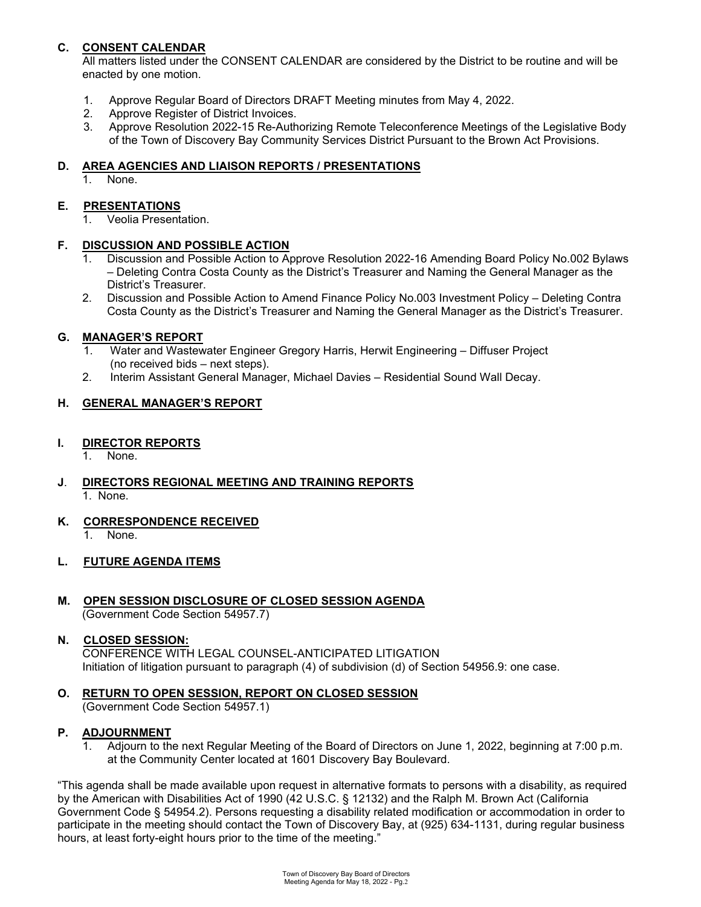# **C. CONSENT CALENDAR**

All matters listed under the CONSENT CALENDAR are considered by the District to be routine and will be enacted by one motion.

- 1. Approve Regular Board of Directors DRAFT Meeting minutes from May 4, 2022.
- 2. Approve Register of District Invoices.
- 3. Approve Resolution 2022-15 Re-Authorizing Remote Teleconference Meetings of the Legislative Body of the Town of Discovery Bay Community Services District Pursuant to the Brown Act Provisions.

### **D. AREA AGENCIES AND LIAISON REPORTS / PRESENTATIONS**

1. None.

# **E. PRESENTATIONS**

1. Veolia Presentation.

### **F. DISCUSSION AND POSSIBLE ACTION**

- Discussion and Possible Action to Approve Resolution 2022-16 Amending Board Policy No.002 Bylaws – Deleting Contra Costa County as the District's Treasurer and Naming the General Manager as the District's Treasurer.
- 2. Discussion and Possible Action to Amend Finance Policy No.003 Investment Policy Deleting Contra Costa County as the District's Treasurer and Naming the General Manager as the District's Treasurer.

### **G. MANAGER'S REPORT**

- 1. Water and Wastewater Engineer Gregory Harris, Herwit Engineering Diffuser Project (no received bids – next steps).
- 2. Interim Assistant General Manager, Michael Davies Residential Sound Wall Decay.

### **H. GENERAL MANAGER'S REPORT**

### **I. DIRECTOR REPORTS**

- None.
- **J**. **DIRECTORS REGIONAL MEETING AND TRAINING REPORTS** 1. None.

# **K. CORRESPONDENCE RECEIVED**

1. None.

# **L. FUTURE AGENDA ITEMS**

**M. OPEN SESSION DISCLOSURE OF CLOSED SESSION AGENDA** (Government Code Section 54957.7)

#### **N. CLOSED SESSION:**

CONFERENCE WITH LEGAL COUNSEL-ANTICIPATED LITIGATION Initiation of litigation pursuant to paragraph (4) of subdivision (d) of Section 54956.9: one case.

#### **O. RETURN TO OPEN SESSION, REPORT ON CLOSED SESSION** (Government Code Section 54957.1)

# **P. ADJOURNMENT**

Adjourn to the next Regular Meeting of the Board of Directors on June 1, 2022, beginning at 7:00 p.m. at the Community Center located at 1601 Discovery Bay Boulevard.

"This agenda shall be made available upon request in alternative formats to persons with a disability, as required by the American with Disabilities Act of 1990 (42 U.S.C. § 12132) and the Ralph M. Brown Act (California Government Code § 54954.2). Persons requesting a disability related modification or accommodation in order to participate in the meeting should contact the Town of Discovery Bay, at (925) 634-1131, during regular business hours, at least forty-eight hours prior to the time of the meeting."